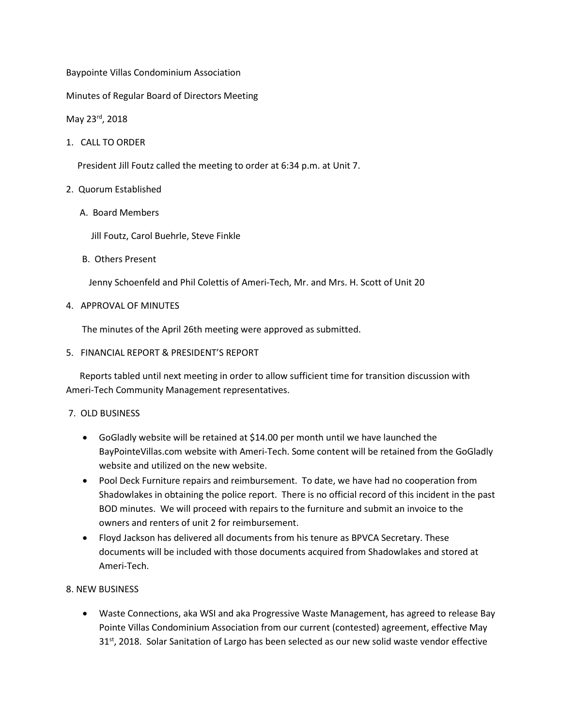Baypointe Villas Condominium Association

Minutes of Regular Board of Directors Meeting

## May 23rd, 2018

1. CALL TO ORDER

President Jill Foutz called the meeting to order at 6:34 p.m. at Unit 7.

#### 2. Quorum Established

A. Board Members

Jill Foutz, Carol Buehrle, Steve Finkle

B. Others Present

Jenny Schoenfeld and Phil Colettis of Ameri-Tech, Mr. and Mrs. H. Scott of Unit 20

4. APPROVAL OF MINUTES

The minutes of the April 26th meeting were approved as submitted.

5. FINANCIAL REPORT & PRESIDENT'S REPORT

 Reports tabled until next meeting in order to allow sufficient time for transition discussion with Ameri-Tech Community Management representatives.

### 7. OLD BUSINESS

- GoGladly website will be retained at \$14.00 per month until we have launched the BayPointeVillas.com website with Ameri-Tech. Some content will be retained from the GoGladly website and utilized on the new website.
- Pool Deck Furniture repairs and reimbursement. To date, we have had no cooperation from Shadowlakes in obtaining the police report. There is no official record of this incident in the past BOD minutes. We will proceed with repairs to the furniture and submit an invoice to the owners and renters of unit 2 for reimbursement.
- Floyd Jackson has delivered all documents from his tenure as BPVCA Secretary. These documents will be included with those documents acquired from Shadowlakes and stored at Ameri-Tech.

### 8. NEW BUSINESS

• Waste Connections, aka WSI and aka Progressive Waste Management, has agreed to release Bay Pointe Villas Condominium Association from our current (contested) agreement, effective May  $31<sup>st</sup>$ , 2018. Solar Sanitation of Largo has been selected as our new solid waste vendor effective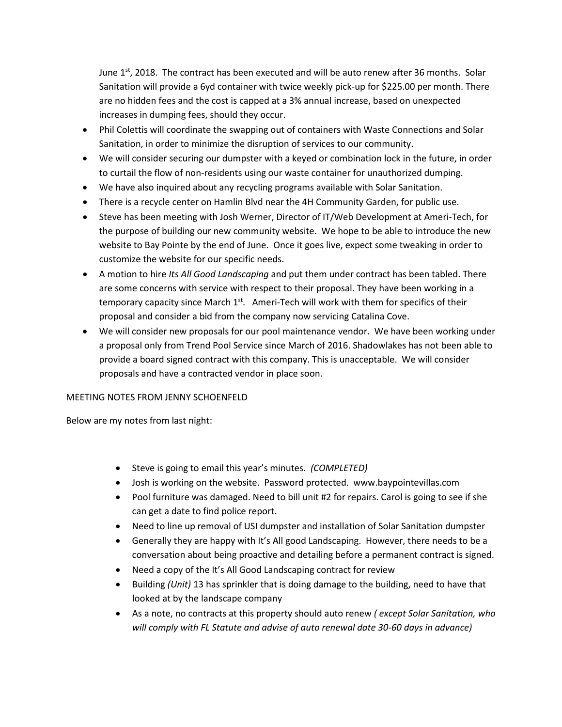June  $1^{st}$ , 2018. The contract has been executed and will be auto renew after 36 months. Solar Sanitation will provide a 6yd container with twice weekly pick-up for \$225.00 per month. There are no hidden fees and the cost is capped at a 3% annual increase, based on unexpected increases in dumping fees, should they occur.

- Phil Colettis will coordinate the swapping out of containers with Waste Connections and Solar Sanitation, in order to minimize the disruption of services to our community.
- We will consider securing our dumpster with a keyed or combination lock in the future, in order to curtail the flow of non-residents using our waste container for unauthorized dumping.
- We have also inquired about any recycling programs available with Solar Sanitation.
- There is a recycle center on Hamlin Blvd near the 4H Community Garden, for public use.
- Steve has been meeting with Josh Werner, Director of IT/Web Development at Ameri-Tech, for the purpose of building our new community website. We hope to be able to introduce the new website to Bay Pointe by the end of June. Once it goes live, expect some tweaking in order to customize the website for our specific needs.
- A motion to hire *Its All Good Landscaping* and put them under contract has been tabled. There are some concerns with service with respect to their proposal. They have been working in a temporary capacity since March  $1<sup>st</sup>$ . Ameri-Tech will work with them for specifics of their proposal and consider a bid from the company now servicing Catalina Cove.
- We will consider new proposals for our pool maintenance vendor. We have been working under a proposal only from Trend Pool Service since March of 2016. Shadowlakes has not been able to provide a board signed contract with this company. This is unacceptable. We will consider proposals and have a contracted vendor in place soon.

### MEETING NOTES FROM JENNY SCHOENFELD

Below are my notes from last night:

- Steve is going to email this year's minutes. *(COMPLETED)*
- Josh is working on the website. Password protected. www.baypointevillas.com
- Pool furniture was damaged. Need to bill unit #2 for repairs. Carol is going to see if she can get a date to find police report.
- Need to line up removal of USI dumpster and installation of Solar Sanitation dumpster
- Generally they are happy with It's All good Landscaping. However, there needs to be a conversation about being proactive and detailing before a permanent contract is signed.
- Need a copy of the It's All Good Landscaping contract for review
- Building *(Unit)* 13 has sprinkler that is doing damage to the building, need to have that looked at by the landscape company
- As a note, no contracts at this property should auto renew *( except Solar Sanitation, who will comply with FL Statute and advise of auto renewal date 30-60 days in advance)*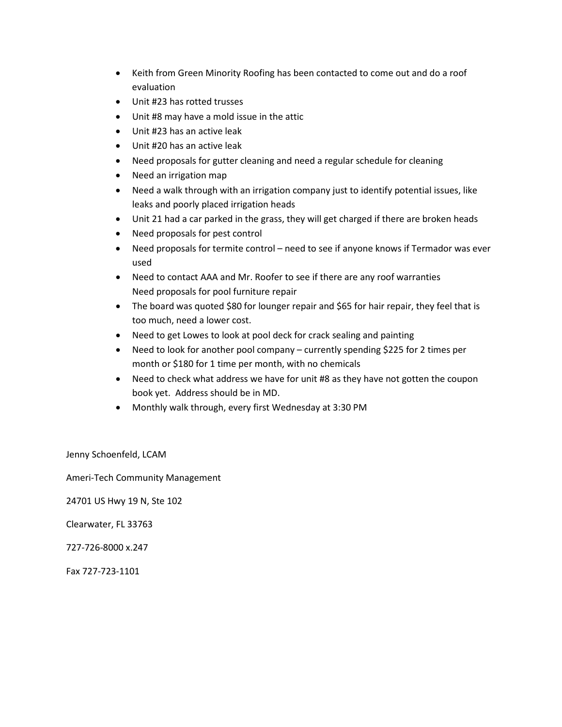- Keith from Green Minority Roofing has been contacted to come out and do a roof evaluation
- Unit #23 has rotted trusses
- Unit #8 may have a mold issue in the attic
- Unit #23 has an active leak
- Unit #20 has an active leak
- Need proposals for gutter cleaning and need a regular schedule for cleaning
- Need an irrigation map
- Need a walk through with an irrigation company just to identify potential issues, like leaks and poorly placed irrigation heads
- Unit 21 had a car parked in the grass, they will get charged if there are broken heads
- Need proposals for pest control
- Need proposals for termite control need to see if anyone knows if Termador was ever used
- Need to contact AAA and Mr. Roofer to see if there are any roof warranties Need proposals for pool furniture repair
- The board was quoted \$80 for lounger repair and \$65 for hair repair, they feel that is too much, need a lower cost.
- Need to get Lowes to look at pool deck for crack sealing and painting
- Need to look for another pool company currently spending \$225 for 2 times per month or \$180 for 1 time per month, with no chemicals
- Need to check what address we have for unit #8 as they have not gotten the coupon book yet. Address should be in MD.
- Monthly walk through, every first Wednesday at 3:30 PM

Jenny Schoenfeld, LCAM

Ameri-Tech Community Management

24701 US Hwy 19 N, Ste 102

Clearwater, FL 33763

727-726-8000 x.247

Fax 727-723-1101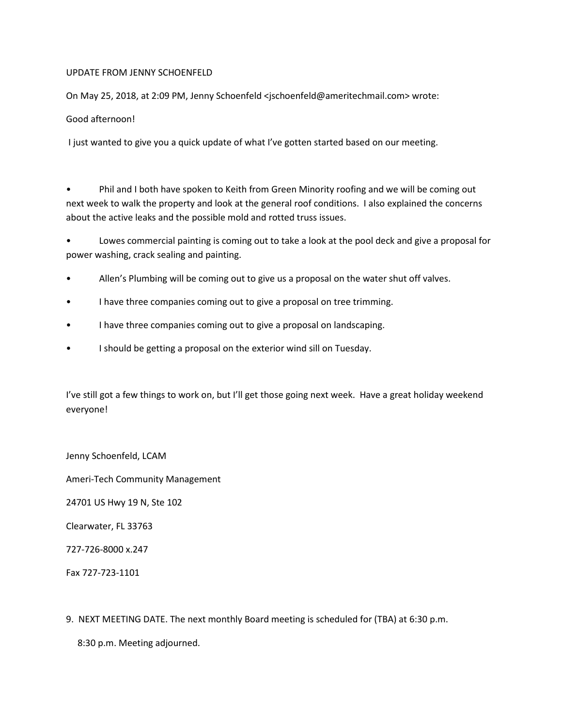### UPDATE FROM JENNY SCHOENFELD

On May 25, 2018, at 2:09 PM, Jenny Schoenfeld <jschoenfeld@ameritechmail.com> wrote:

Good afternoon!

I just wanted to give you a quick update of what I've gotten started based on our meeting.

• Phil and I both have spoken to Keith from Green Minority roofing and we will be coming out next week to walk the property and look at the general roof conditions. I also explained the concerns about the active leaks and the possible mold and rotted truss issues.

• Lowes commercial painting is coming out to take a look at the pool deck and give a proposal for power washing, crack sealing and painting.

- Allen's Plumbing will be coming out to give us a proposal on the water shut off valves.
- I have three companies coming out to give a proposal on tree trimming.
- I have three companies coming out to give a proposal on landscaping.
- I should be getting a proposal on the exterior wind sill on Tuesday.

I've still got a few things to work on, but I'll get those going next week. Have a great holiday weekend everyone!

Jenny Schoenfeld, LCAM

Ameri-Tech Community Management

24701 US Hwy 19 N, Ste 102

Clearwater, FL 33763

727-726-8000 x.247

Fax 727-723-1101

9. NEXT MEETING DATE. The next monthly Board meeting is scheduled for (TBA) at 6:30 p.m.

8:30 p.m. Meeting adjourned.